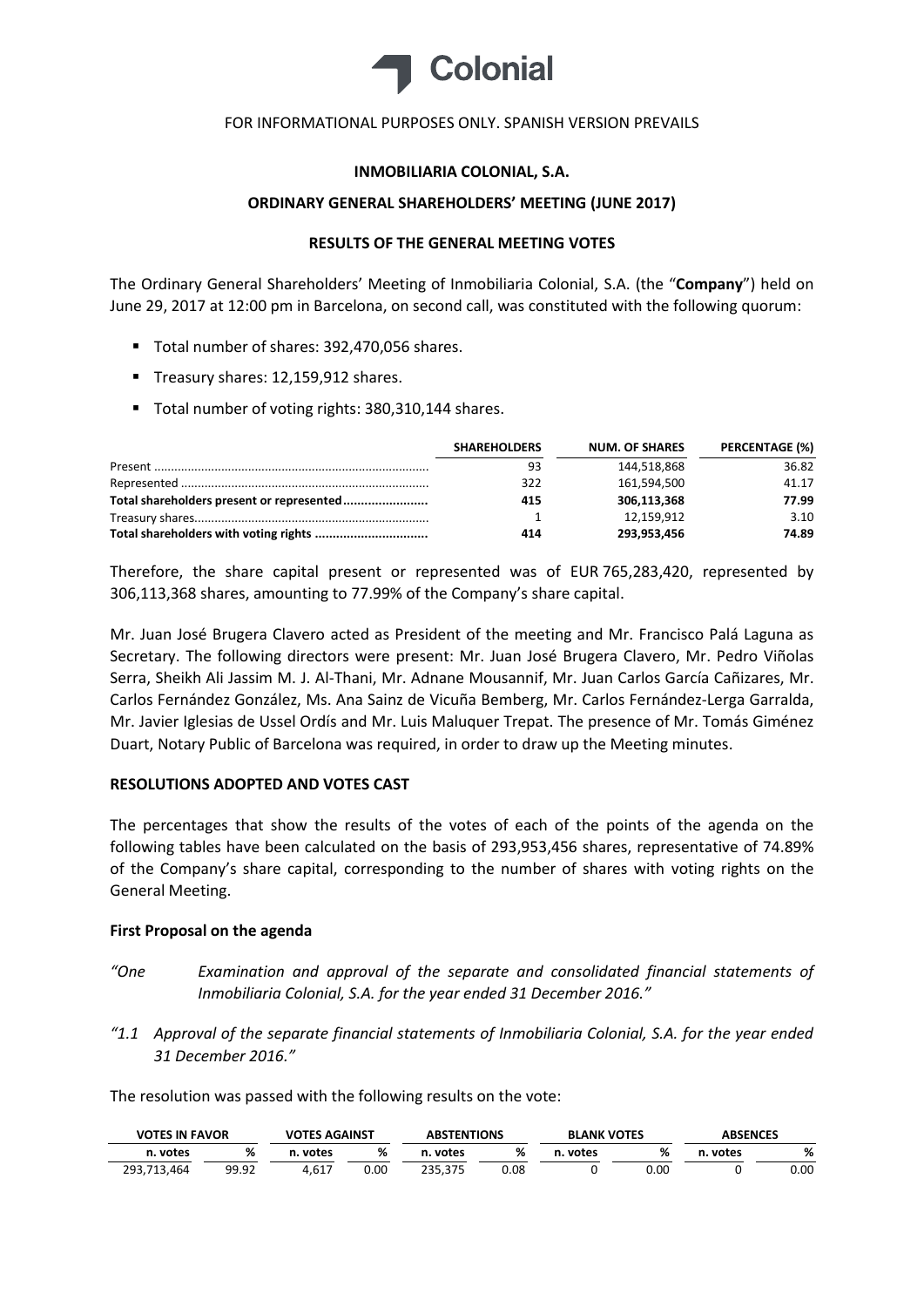

# **INMOBILIARIA COLONIAL, S.A.**

## **ORDINARY GENERAL SHAREHOLDERS' MEETING (JUNE 2017)**

# **RESULTS OF THE GENERAL MEETING VOTES**

The Ordinary General Shareholders' Meeting of Inmobiliaria Colonial, S.A. (the "**Company**") held on June 29, 2017 at 12:00 pm in Barcelona, on second call, was constituted with the following quorum:

- Total number of shares: 392,470,056 shares.
- Treasury shares: 12,159,912 shares.
- Total number of voting rights: 380,310,144 shares.

| <b>SHAREHOLDERS</b> | <b>NUM. OF SHARES</b> | PERCENTAGE (%) |
|---------------------|-----------------------|----------------|
| 93                  | 144.518.868           | 36.82          |
| 322                 | 161,594,500           | 41.17          |
| 415                 | 306,113,368           | 77.99          |
|                     | 12.159.912            | 3.10           |
| 414                 | 293,953,456           | 74.89          |

Therefore, the share capital present or represented was of EUR 765,283,420, represented by 306,113,368 shares, amounting to 77.99% of the Company's share capital.

Mr. Juan José Brugera Clavero acted as President of the meeting and Mr. Francisco Palá Laguna as Secretary. The following directors were present: Mr. Juan José Brugera Clavero, Mr. Pedro Viñolas Serra, Sheikh Ali Jassim M. J. Al-Thani, Mr. Adnane Mousannif, Mr. Juan Carlos García Cañizares, Mr. Carlos Fernández González, Ms. Ana Sainz de Vicuña Bemberg, Mr. Carlos Fernández-Lerga Garralda, Mr. Javier Iglesias de Ussel Ordís and Mr. Luis Maluquer Trepat. The presence of Mr. Tomás Giménez Duart, Notary Public of Barcelona was required, in order to draw up the Meeting minutes.

# **RESOLUTIONS ADOPTED AND VOTES CAST**

The percentages that show the results of the votes of each of the points of the agenda on the following tables have been calculated on the basis of 293,953,456 shares, representative of 74.89% of the Company's share capital, corresponding to the number of shares with voting rights on the General Meeting.

# **First Proposal on the agenda**

- *"One Examination and approval of the separate and consolidated financial statements of Inmobiliaria Colonial, S.A. for the year ended 31 December 2016."*
- *"1.1 Approval of the separate financial statements of Inmobiliaria Colonial, S.A. for the year ended 31 December 2016."*

| <b>VOTES IN FAVOR</b> |       | <b>VOTES AGAINST</b> |      | <b>ABSTENTIONS</b> |      | <b>BLANK VOTES</b> |      | <b>ABSENCES</b> |      |
|-----------------------|-------|----------------------|------|--------------------|------|--------------------|------|-----------------|------|
| n. votes              | %     | . votes              | %    | n. votes           | %    | n. votes           | %    | votes<br>n.     | %    |
| 293.713.464           | 99.92 | 4.617                | 0.00 | 235.375            | 0.08 |                    | 0.00 |                 | 0.00 |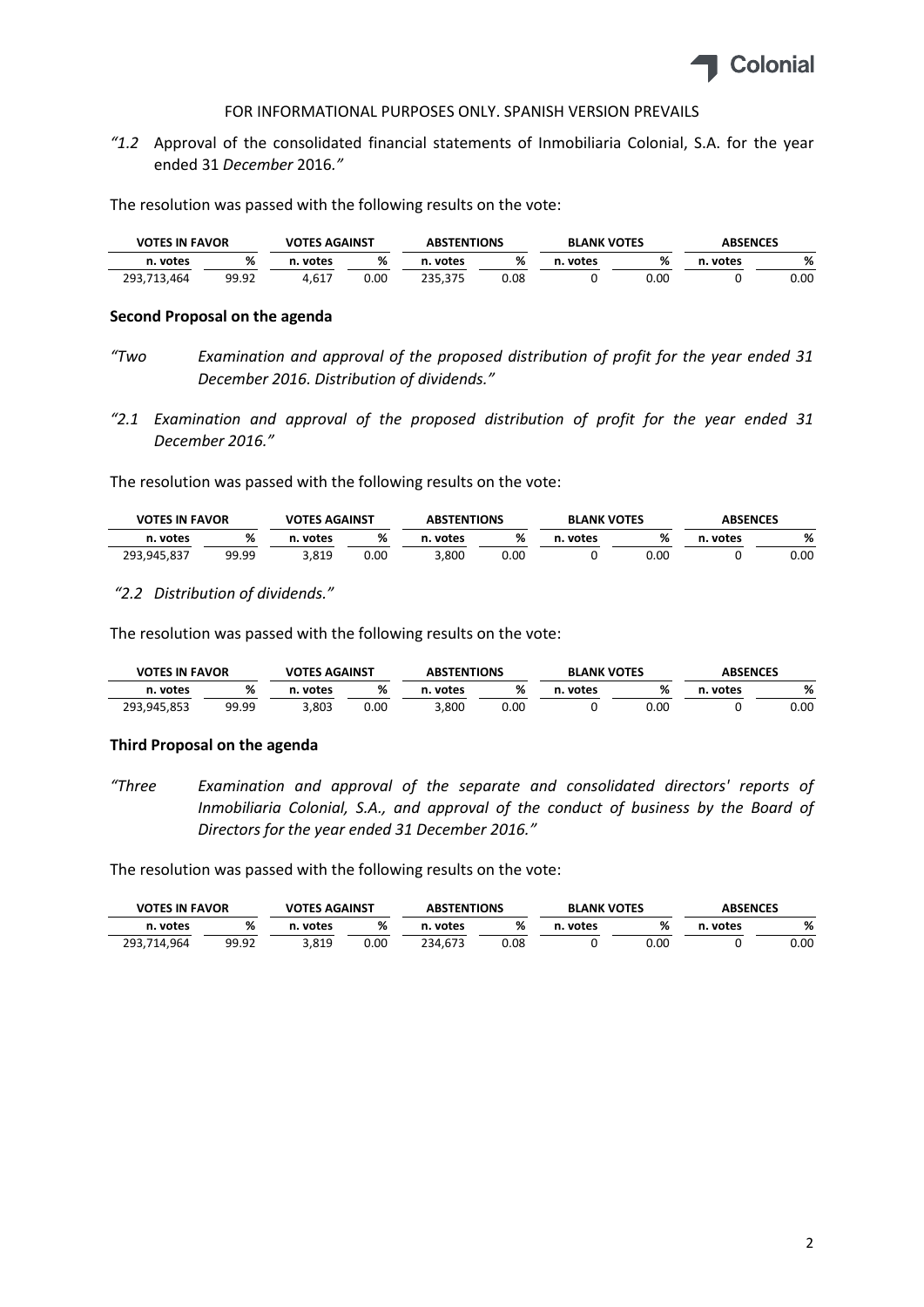

*"1.2* Approval of the consolidated financial statements of Inmobiliaria Colonial, S.A. for the year ended 31 *December* 2016*."*

The resolution was passed with the following results on the vote:

| <b>VOTES IN FAVOR</b> |       | <b>VOTES AGAINST</b> |      | <b>ABSTENTIONS</b> |      |       | <b>BLANK VOTES</b> |       | <b>ABSENCES</b> |  |
|-----------------------|-------|----------------------|------|--------------------|------|-------|--------------------|-------|-----------------|--|
| n. votes              | %     | votes                | %    | votes              | %    | votes | %                  | votes | %               |  |
| 293,713,464           | 99.92 | 4.617                | 0.00 | 235.375            | 0.08 |       | 0.00               |       | 0.00            |  |

#### **Second Proposal on the agenda**

- *"Two Examination and approval of the proposed distribution of profit for the year ended 31 December 2016. Distribution of dividends."*
- *"2.1 Examination and approval of the proposed distribution of profit for the year ended 31 December 2016."*

The resolution was passed with the following results on the vote:

|             | <b>VOTES IN FAVOR</b> |       | <b>VOTES AGAINST</b> |       | <b>ABSTENTIONS</b> |       | <b>BLANK VOTES</b> | <b>ABSENCES</b> |      |
|-------------|-----------------------|-------|----------------------|-------|--------------------|-------|--------------------|-----------------|------|
| n. votes    | %                     | votes | %                    | votes | %                  | votes |                    | . votes         | %    |
| 293,945,837 | 99.99                 | 3.819 | 0.00                 | 3.800 | 0.00               |       | ა.იი               |                 | 0.00 |

#### *"2.2 Distribution of dividends."*

The resolution was passed with the following results on the vote:

| <b>VOTES IN FAVOR</b> |       | <b>VOTES AGAINST</b> |      | <b>ABSTENTIONS</b> |      | <b>BLANK VOTES</b> |      | <b>ABSENCES</b> |      |
|-----------------------|-------|----------------------|------|--------------------|------|--------------------|------|-----------------|------|
| n. votes              | %     | votes                | %    | votes              | %    | votes              |      | votes           | %    |
| 293,945,853           | 99.99 | 3,803                | 0.00 | 3,800              | 0.00 |                    | 0.00 |                 | 0.00 |

#### **Third Proposal on the agenda**

*"Three Examination and approval of the separate and consolidated directors' reports of Inmobiliaria Colonial, S.A., and approval of the conduct of business by the Board of Directors for the year ended 31 December 2016."*

| <b>VOTES IN FAVOR</b> |       | <b>VOTES AGAINST</b> |      | <b>ABSTENTIONS</b> |      | <b>BLANK VOTES</b> | <b>ABSENCES</b> |       |      |  |
|-----------------------|-------|----------------------|------|--------------------|------|--------------------|-----------------|-------|------|--|
| n. votes              | %     | votes                | %    | . votes            | %    | . votes<br>n.      | %               | votes | %    |  |
| 293.714.964           | 99.92 | 3.819                | 0.00 | 234.673            | 0.08 |                    | 0.00            |       | 0.00 |  |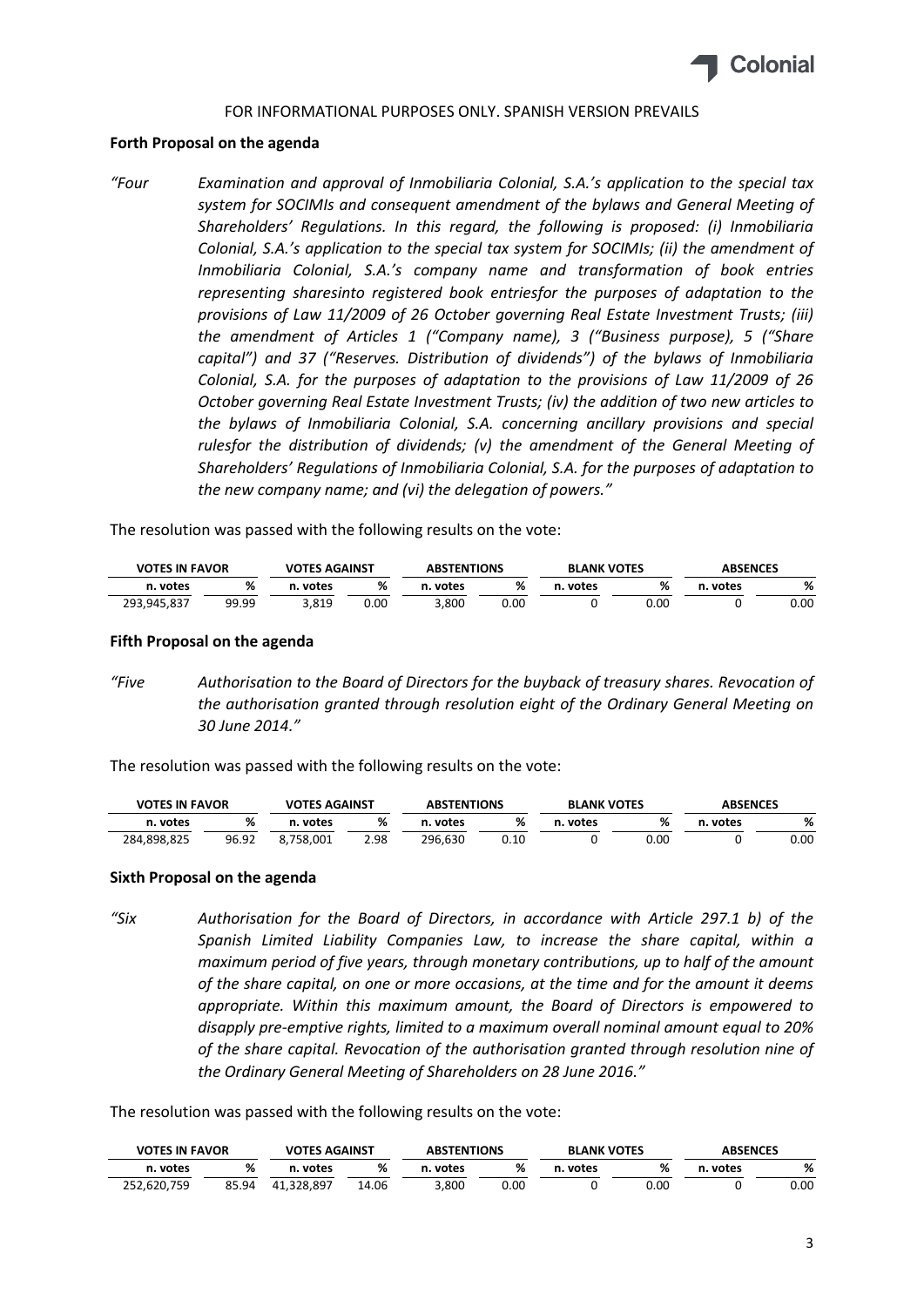

### **Forth Proposal on the agenda**

*"Four Examination and approval of Inmobiliaria Colonial, S.A.'s application to the special tax system for SOCIMIs and consequent amendment of the bylaws and General Meeting of Shareholders' Regulations. In this regard, the following is proposed: (i) Inmobiliaria Colonial, S.A.'s application to the special tax system for SOCIMIs; (ii) the amendment of Inmobiliaria Colonial, S.A.'s company name and transformation of book entries representing sharesinto registered book entriesfor the purposes of adaptation to the provisions of Law 11/2009 of 26 October governing Real Estate Investment Trusts; (iii) the amendment of Articles 1 ("Company name), 3 ("Business purpose), 5 ("Share capital") and 37 ("Reserves. Distribution of dividends") of the bylaws of Inmobiliaria Colonial, S.A. for the purposes of adaptation to the provisions of Law 11/2009 of 26 October governing Real Estate Investment Trusts; (iv) the addition of two new articles to the bylaws of Inmobiliaria Colonial, S.A. concerning ancillary provisions and special rulesfor the distribution of dividends; (v) the amendment of the General Meeting of Shareholders' Regulations of Inmobiliaria Colonial, S.A. for the purposes of adaptation to the new company name; and (vi) the delegation of powers."*

The resolution was passed with the following results on the vote:

| <b>VOTES IN FAVOR</b> |       | <b>VOTES AGAINST</b> |      |       | <b>ABSTENTIONS</b> |       | <b>BLANK VOTES</b> | <b>ABSENCES</b> |      |
|-----------------------|-------|----------------------|------|-------|--------------------|-------|--------------------|-----------------|------|
| n. votes              | %     | votes                | %    | votes | %                  | votes |                    | . votes         | %    |
| 293,945,837           | 99.99 | 3,819                | 0.00 | 3,800 | 0.00               |       | 00.ر               |                 | 0.00 |

#### **Fifth Proposal on the agenda**

*"Five Authorisation to the Board of Directors for the buyback of treasury shares. Revocation of the authorisation granted through resolution eight of the Ordinary General Meeting on 30 June 2014."*

The resolution was passed with the following results on the vote:

| <b>VOTES IN FAVOR</b> |       | <b>VOTES AGAINST</b> |      | <b>ABSTENTIONS</b> |      | <b>BLANK VOTES</b> |      | <b>ABSENCES</b> |      |
|-----------------------|-------|----------------------|------|--------------------|------|--------------------|------|-----------------|------|
| n. votes              |       | votes                | ℅    | . votes            | %    | votes              |      | n. votes        | %    |
| 284,898,825           | 96.92 | .758.001             | 2.98 | 296.630            | 0.10 |                    | ა.იი |                 | 0.00 |

#### **Sixth Proposal on the agenda**

*"Six Authorisation for the Board of Directors, in accordance with Article 297.1 b) of the Spanish Limited Liability Companies Law, to increase the share capital, within a maximum period of five years, through monetary contributions, up to half of the amount of the share capital, on one or more occasions, at the time and for the amount it deems appropriate. Within this maximum amount, the Board of Directors is empowered to disapply pre‐emptive rights, limited to a maximum overall nominal amount equal to 20% of the share capital. Revocation of the authorisation granted through resolution nine of the Ordinary General Meeting of Shareholders on 28 June 2016."*

|             | <b>VOTES IN FAVOR</b> |            | <b>VOTES AGAINST</b> |             | <b>ABSENCES</b><br><b>ABSTENTIONS</b><br><b>BLANK VOTES</b> |             |      |          |      |
|-------------|-----------------------|------------|----------------------|-------------|-------------------------------------------------------------|-------------|------|----------|------|
| n. votes    | %                     | . votes    | %                    | votes<br>n. | %                                                           | votes<br>n. |      | n. votes | %    |
| 252.620.759 | 85.94                 | 41.328.897 | 14.06                | 3,800       | 0.00                                                        |             | ວ.໐໐ |          | 0.00 |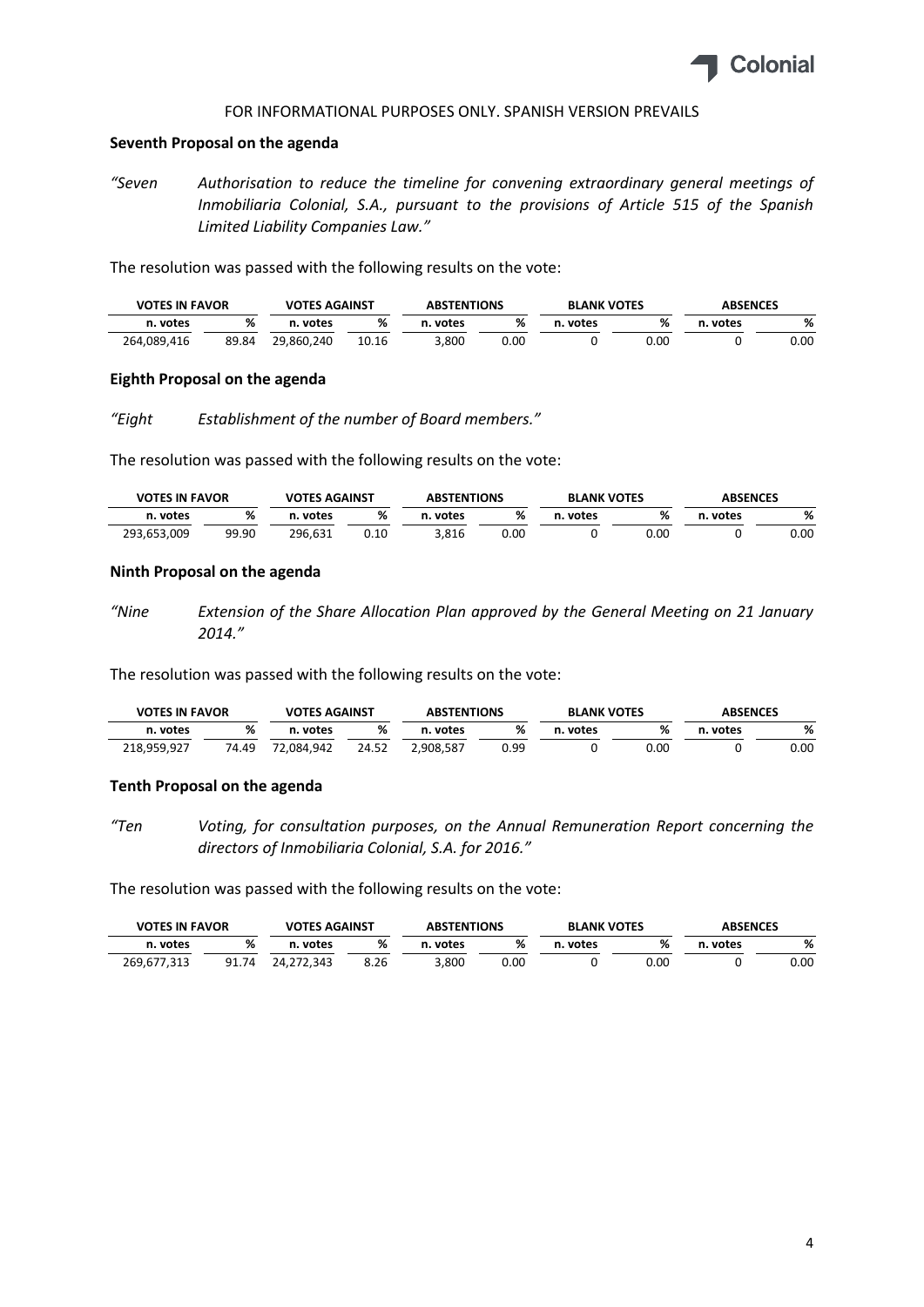

#### **Seventh Proposal on the agenda**

*"Seven Authorisation to reduce the timeline for convening extraordinary general meetings of Inmobiliaria Colonial, S.A., pursuant to the provisions of Article 515 of the Spanish Limited Liability Companies Law."*

The resolution was passed with the following results on the vote:

| <b>VOTES IN FAVOR</b> |       | <b>VOTES AGAINST</b> |       |             | <b>ABSTENTIONS</b> |       | <b>BLANK VOTES</b> |         |      | <b>ABSENCES</b> |  |
|-----------------------|-------|----------------------|-------|-------------|--------------------|-------|--------------------|---------|------|-----------------|--|
| n. votes              | %     | . votes              | %     | votes<br>n. | %                  | votes | %                  | . votes | %    |                 |  |
| 264,089,416           | 89.84 | 29.860.240           | 10.16 | ,800،       | 0.00               |       | 0.00               |         | 0.00 |                 |  |

#### **Eighth Proposal on the agenda**

*"Eight Establishment of the number of Board members."*

The resolution was passed with the following results on the vote:

| <b>VOTES IN FAVOR</b> |       | <b>VOTES AGAINST</b> |      | <b>BLANK VOTES</b><br><b>ABSTENTIONS</b> |      | <b>ABSENCES</b> |      |         |      |
|-----------------------|-------|----------------------|------|------------------------------------------|------|-----------------|------|---------|------|
| n. votes              |       | votes                | %    | votes                                    | %    | votes           |      | . votes | %    |
| 293,653,009           | 99.90 | 296.631              | 0.10 | 3.816                                    | 0.00 |                 | 0.OC |         | 0.00 |

### **Ninth Proposal on the agenda**

*"Nine Extension of the Share Allocation Plan approved by the General Meeting on 21 January 2014."*

The resolution was passed with the following results on the vote:

| <b>VOTES IN FAVOR</b> |          | <b>VOTES AGAINST</b> |       | <b>ABSTENTIONS</b> |      |       | <b>ABSENCES</b><br><b>BLANK VOTES</b> |       |      |  |
|-----------------------|----------|----------------------|-------|--------------------|------|-------|---------------------------------------|-------|------|--|
| n. votes              | ٥/<br>70 | votes                | %     | votes              | %    | votes | %                                     | votes | %    |  |
| 218,959,927           | 74.49    | 72.084.942           | 24.52 | 2,908,587          | 0.99 |       | 0.00                                  |       | 0.00 |  |

### **Tenth Proposal on the agenda**

*"Ten Voting, for consultation purposes, on the Annual Remuneration Report concerning the directors of Inmobiliaria Colonial, S.A. for 2016."*

| <b>VOTES IN FAVOR</b> |       | <b>VOTES AGAINST</b> |      | <b>ABSTENTIONS</b> |      | <b>BLANK VOTES</b> |      | <b>ABSENCES</b> |      |
|-----------------------|-------|----------------------|------|--------------------|------|--------------------|------|-----------------|------|
| n. votes              | %     | votes                | ℅    | votes              | %    | votes              | %    | . votes         | %    |
| 269,677,313           | 91.74 | 24.272.343           | 8.26 | 3,800              | 0.00 |                    | 0.00 |                 | 0.00 |